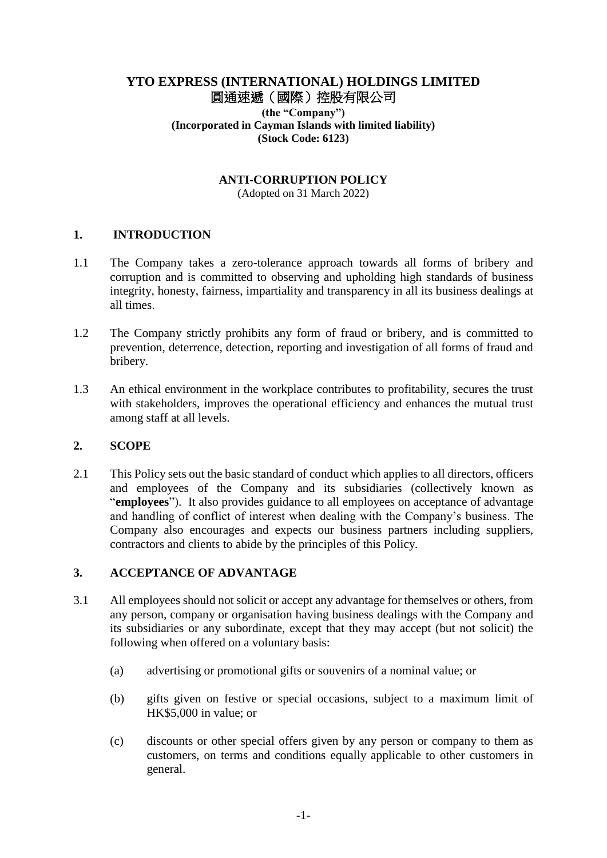# **YTO EXPRESS (INTERNATIONAL) HOLDINGS LIMITED** 圓通速遞(國際)控股有限公司 **(the "Company")**

**(Incorporated in Cayman Islands with limited liability) (Stock Code: 6123)**

### **ANTI-CORRUPTION POLICY**

(Adopted on 31 March 2022)

### **1. INTRODUCTION**

- 1.1 The Company takes a zero-tolerance approach towards all forms of bribery and corruption and is committed to observing and upholding high standards of business integrity, honesty, fairness, impartiality and transparency in all its business dealings at all times.
- 1.2 The Company strictly prohibits any form of fraud or bribery, and is committed to prevention, deterrence, detection, reporting and investigation of all forms of fraud and bribery.
- 1.3 An ethical environment in the workplace contributes to profitability, secures the trust with stakeholders, improves the operational efficiency and enhances the mutual trust among staff at all levels.

### **2. SCOPE**

2.1 This Policy sets out the basic standard of conduct which applies to all directors, officers and employees of the Company and its subsidiaries (collectively known as "**employees**"). It also provides guidance to all employees on acceptance of advantage and handling of conflict of interest when dealing with the Company's business. The Company also encourages and expects our business partners including suppliers, contractors and clients to abide by the principles of this Policy.

#### **3. ACCEPTANCE OF ADVANTAGE**

- 3.1 All employees should not solicit or accept any advantage for themselves or others, from any person, company or organisation having business dealings with the Company and its subsidiaries or any subordinate, except that they may accept (but not solicit) the following when offered on a voluntary basis:
	- (a) advertising or promotional gifts or souvenirs of a nominal value; or
	- (b) gifts given on festive or special occasions, subject to a maximum limit of HK\$5,000 in value; or
	- (c) discounts or other special offers given by any person or company to them as customers, on terms and conditions equally applicable to other customers in general.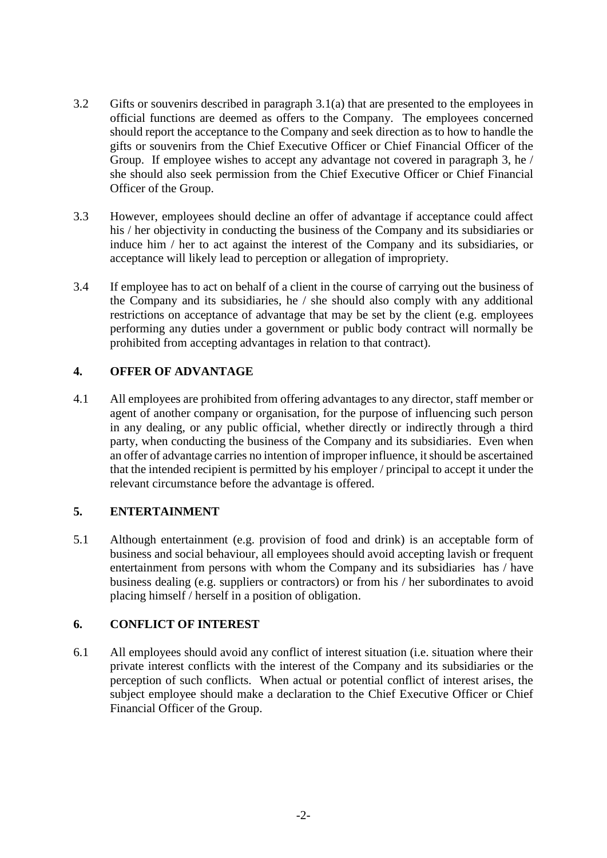- 3.2 Gifts or souvenirs described in paragraph 3.1(a) that are presented to the employees in official functions are deemed as offers to the Company. The employees concerned should report the acceptance to the Company and seek direction as to how to handle the gifts or souvenirs from the Chief Executive Officer or Chief Financial Officer of the Group. If employee wishes to accept any advantage not covered in paragraph 3, he / she should also seek permission from the Chief Executive Officer or Chief Financial Officer of the Group.
- 3.3 However, employees should decline an offer of advantage if acceptance could affect his / her objectivity in conducting the business of the Company and its subsidiaries or induce him / her to act against the interest of the Company and its subsidiaries, or acceptance will likely lead to perception or allegation of impropriety.
- 3.4 If employee has to act on behalf of a client in the course of carrying out the business of the Company and its subsidiaries, he / she should also comply with any additional restrictions on acceptance of advantage that may be set by the client (e.g. employees performing any duties under a government or public body contract will normally be prohibited from accepting advantages in relation to that contract).

# **4. OFFER OF ADVANTAGE**

4.1 All employees are prohibited from offering advantages to any director, staff member or agent of another company or organisation, for the purpose of influencing such person in any dealing, or any public official, whether directly or indirectly through a third party, when conducting the business of the Company and its subsidiaries. Even when an offer of advantage carries no intention of improper influence, it should be ascertained that the intended recipient is permitted by his employer / principal to accept it under the relevant circumstance before the advantage is offered.

# **5. ENTERTAINMENT**

5.1 Although entertainment (e.g. provision of food and drink) is an acceptable form of business and social behaviour, all employees should avoid accepting lavish or frequent entertainment from persons with whom the Company and its subsidiaries has / have business dealing (e.g. suppliers or contractors) or from his / her subordinates to avoid placing himself / herself in a position of obligation.

# **6. CONFLICT OF INTEREST**

6.1 All employees should avoid any conflict of interest situation (i.e. situation where their private interest conflicts with the interest of the Company and its subsidiaries or the perception of such conflicts. When actual or potential conflict of interest arises, the subject employee should make a declaration to the Chief Executive Officer or Chief Financial Officer of the Group.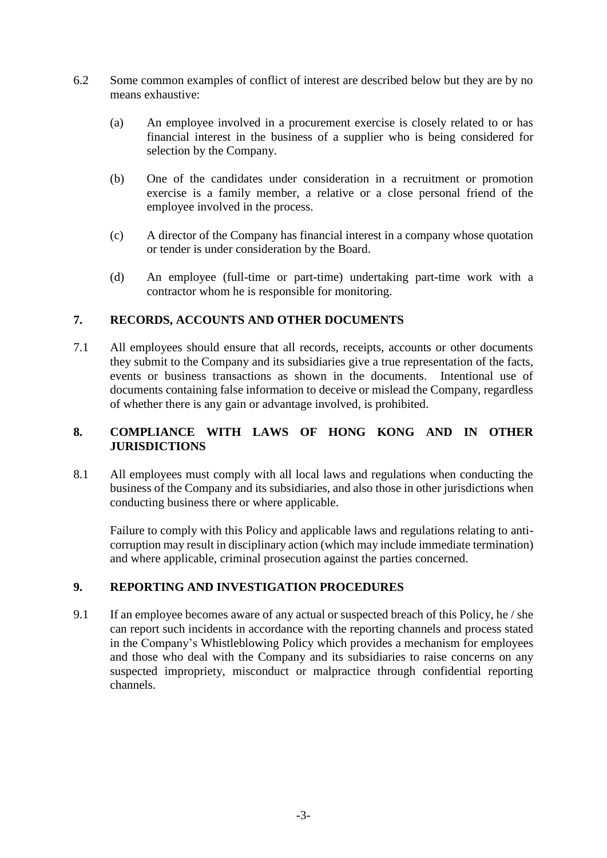- 6.2 Some common examples of conflict of interest are described below but they are by no means exhaustive:
	- (a) An employee involved in a procurement exercise is closely related to or has financial interest in the business of a supplier who is being considered for selection by the Company.
	- (b) One of the candidates under consideration in a recruitment or promotion exercise is a family member, a relative or a close personal friend of the employee involved in the process.
	- (c) A director of the Company has financial interest in a company whose quotation or tender is under consideration by the Board.
	- (d) An employee (full-time or part-time) undertaking part-time work with a contractor whom he is responsible for monitoring.

# **7. RECORDS, ACCOUNTS AND OTHER DOCUMENTS**

7.1 All employees should ensure that all records, receipts, accounts or other documents they submit to the Company and its subsidiaries give a true representation of the facts, events or business transactions as shown in the documents. Intentional use of documents containing false information to deceive or mislead the Company, regardless of whether there is any gain or advantage involved, is prohibited.

# **8. COMPLIANCE WITH LAWS OF HONG KONG AND IN OTHER JURISDICTIONS**

8.1 All employees must comply with all local laws and regulations when conducting the business of the Company and its subsidiaries, and also those in other jurisdictions when conducting business there or where applicable.

Failure to comply with this Policy and applicable laws and regulations relating to anticorruption may result in disciplinary action (which may include immediate termination) and where applicable, criminal prosecution against the parties concerned.

# **9. REPORTING AND INVESTIGATION PROCEDURES**

9.1 If an employee becomes aware of any actual or suspected breach of this Policy, he / she can report such incidents in accordance with the reporting channels and process stated in the Company's Whistleblowing Policy which provides a mechanism for employees and those who deal with the Company and its subsidiaries to raise concerns on any suspected impropriety, misconduct or malpractice through confidential reporting channels.